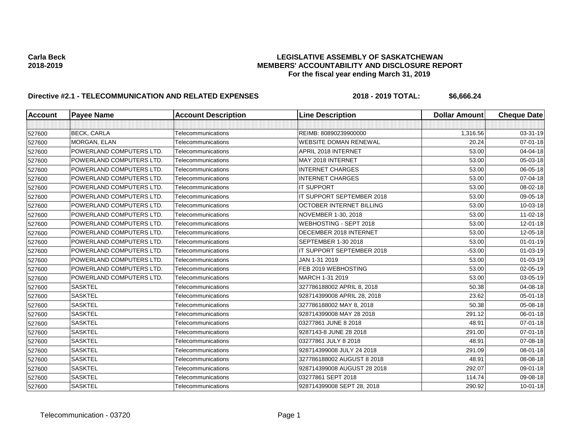## **Carla Beck LEGISLATIVE ASSEMBLY OF SASKATCHEWAN 2018-2019 MEMBERS' ACCOUNTABILITY AND DISCLOSURE REPORT For the fiscal year ending March 31, 2019**

# **Directive #2.1 - TELECOMMUNICATION AND RELATED EXPENSES 2018 - 2019 TOTAL: \$6,666.24**

| <b>Account</b> | <b>Payee Name</b>               | <b>Account Description</b> | <b>Line Description</b>         | <b>Dollar Amount</b> | <b>Cheque Date</b> |
|----------------|---------------------------------|----------------------------|---------------------------------|----------------------|--------------------|
|                |                                 |                            |                                 |                      |                    |
| 527600         | <b>BECK, CARLA</b>              | Telecommunications         | REIMB: 80890239900000           | 1,316.56             | 03-31-19           |
| 527600         | <b>MORGAN, ELAN</b>             | Telecommunications         | <b>WEBSITE DOMAN RENEWAL</b>    | 20.24                | $07 - 01 - 18$     |
| 527600         | POWERLAND COMPUTERS LTD.        | Telecommunications         | APRIL 2018 INTERNET             | 53.00                | 04-04-18           |
| 527600         | POWERLAND COMPUTERS LTD.        | Telecommunications         | MAY 2018 INTERNET               | 53.00                | 05-03-18           |
| 527600         | POWERLAND COMPUTERS LTD.        | Telecommunications         | <b>INTERNET CHARGES</b>         | 53.00                | 06-05-18           |
| 527600         | POWERLAND COMPUTERS LTD.        | Telecommunications         | <b>INTERNET CHARGES</b>         | 53.00                | 07-04-18           |
| 527600         | POWERLAND COMPUTERS LTD.        | Telecommunications         | <b>IT SUPPORT</b>               | 53.00                | 08-02-18           |
| 527600         | POWERLAND COMPUTERS LTD.        | Telecommunications         | IT SUPPORT SEPTEMBER 2018       | 53.00                | 09-05-18           |
| 527600         | POWERLAND COMPUTERS LTD.        | Telecommunications         | <b>OCTOBER INTERNET BILLING</b> | 53.00                | 10-03-18           |
| 527600         | POWERLAND COMPUTERS LTD.        | Telecommunications         | NOVEMBER 1-30, 2018             | 53.00                | $11 - 02 - 18$     |
| 527600         | <b>POWERLAND COMPUTERS LTD.</b> | Telecommunications         | WEBHOSTING - SEPT 2018          | 53.00                | 12-01-18           |
| 527600         | POWERLAND COMPUTERS LTD.        | Telecommunications         | DECEMBER 2018 INTERNET          | 53.00                | 12-05-18           |
| 527600         | POWERLAND COMPUTERS LTD.        | Telecommunications         | SEPTEMBER 1-30 2018             | 53.00                | $01 - 01 - 19$     |
| 527600         | <b>POWERLAND COMPUTERS LTD.</b> | Telecommunications         | IT SUPPORT SEPTEMBER 2018       | $-53.00$             | 01-03-19           |
| 527600         | POWERLAND COMPUTERS LTD.        | Telecommunications         | JAN 1-31 2019                   | 53.00                | 01-03-19           |
| 527600         | POWERLAND COMPUTERS LTD.        | Telecommunications         | FEB 2019 WEBHOSTING             | 53.00                | 02-05-19           |
| 527600         | POWERLAND COMPUTERS LTD.        | Telecommunications         | MARCH 1-31 2019                 | 53.00                | 03-05-19           |
| 527600         | <b>SASKTEL</b>                  | Telecommunications         | 327786188002 APRIL 8, 2018      | 50.38                | 04-08-18           |
| 527600         | <b>SASKTEL</b>                  | Telecommunications         | 928714399008 APRIL 28, 2018     | 23.62                | 05-01-18           |
| 527600         | <b>SASKTEL</b>                  | Telecommunications         | 327786188002 MAY 8, 2018        | 50.38                | 05-08-18           |
| 527600         | <b>SASKTEL</b>                  | Telecommunications         | 928714399008 MAY 28 2018        | 291.12               | 06-01-18           |
| 527600         | <b>SASKTEL</b>                  | Telecommunications         | 03277861 JUNE 8 2018            | 48.91                | 07-01-18           |
| 527600         | <b>SASKTEL</b>                  | Telecommunications         | 9287143-8 JUNE 28 2018          | 291.00               | $07 - 01 - 18$     |
| 527600         | <b>SASKTEL</b>                  | Telecommunications         | 03277861 JULY 8 2018            | 48.91                | 07-08-18           |
| 527600         | <b>SASKTEL</b>                  | Telecommunications         | 928714399008 JULY 24 2018       | 291.09               | 08-01-18           |
| 527600         | <b>SASKTEL</b>                  | Telecommunications         | 327786188002 AUGUST 8 2018      | 48.91                | 08-08-18           |
| 527600         | <b>SASKTEL</b>                  | Telecommunications         | 928714399008 AUGUST 28 2018     | 292.07               | 09-01-18           |
| 527600         | <b>SASKTEL</b>                  | Telecommunications         | 03277861 SEPT 2018              | 114.74               | 09-08-18           |
| 527600         | <b>SASKTEL</b>                  | Telecommunications         | 928714399008 SEPT 28, 2018      | 290.92               | $10 - 01 - 18$     |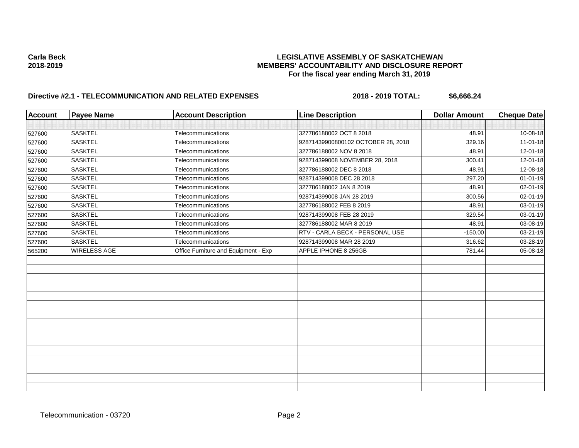## **Carla Beck LEGISLATIVE ASSEMBLY OF SASKATCHEWAN 2018-2019 MEMBERS' ACCOUNTABILITY AND DISCLOSURE REPORT For the fiscal year ending March 31, 2019**

# **Directive #2.1 - TELECOMMUNICATION AND RELATED EXPENSES 2018 - 2019 TOTAL: \$6,666.24**

| <b>Account</b> | <b>Payee Name</b> | <b>Account Description</b>           | <b>Line Description</b>            | <b>Dollar Amount</b> | Cheque Date    |
|----------------|-------------------|--------------------------------------|------------------------------------|----------------------|----------------|
|                |                   |                                      |                                    |                      |                |
| 527600         | <b>SASKTEL</b>    | Telecommunications                   | 327786188002 OCT 8 2018            | 48.91                | 10-08-18       |
| 527600         | <b>SASKTEL</b>    | <b>Telecommunications</b>            | 92871439900800102 OCTOBER 28, 2018 | 329.16               | $11-01-18$     |
| 527600         | <b>SASKTEL</b>    | Telecommunications                   | 327786188002 NOV 8 2018            | 48.91                | 12-01-18       |
| 527600         | <b>SASKTEL</b>    | Telecommunications                   | 928714399008 NOVEMBER 28, 2018     | 300.41               | 12-01-18       |
| 527600         | <b>SASKTEL</b>    | Telecommunications                   | 327786188002 DEC 8 2018            | 48.91                | 12-08-18       |
| 527600         | <b>SASKTEL</b>    | Telecommunications                   | 928714399008 DEC 28 2018           | 297.20               | $01 - 01 - 19$ |
| 527600         | <b>SASKTEL</b>    | Telecommunications                   | 327786188002 JAN 8 2019            | 48.91                | 02-01-19       |
| 527600         | <b>SASKTEL</b>    | Telecommunications                   | 928714399008 JAN 28 2019           | 300.56               | 02-01-19       |
| 527600         | <b>SASKTEL</b>    | Telecommunications                   | 327786188002 FEB 8 2019            | 48.91                | 03-01-19       |
| 527600         | <b>SASKTEL</b>    | <b>Telecommunications</b>            | 928714399008 FEB 28 2019           | 329.54               | 03-01-19       |
| 527600         | <b>SASKTEL</b>    | Telecommunications                   | 327786188002 MAR 8 2019            | 48.91                | 03-08-19       |
| 527600         | <b>SASKTEL</b>    | Telecommunications                   | RTV - CARLA BECK - PERSONAL USE    | $-150.00$            | 03-21-19       |
| 527600         | <b>SASKTEL</b>    | Telecommunications                   | 928714399008 MAR 28 2019           | 316.62               | 03-28-19       |
| 565200         | WIRELESS AGE      | Office Furniture and Equipment - Exp | APPLE IPHONE 8 256GB               | 781.44               | 05-08-18       |
|                |                   |                                      |                                    |                      |                |
|                |                   |                                      |                                    |                      |                |
|                |                   |                                      |                                    |                      |                |
|                |                   |                                      |                                    |                      |                |
|                |                   |                                      |                                    |                      |                |
|                |                   |                                      |                                    |                      |                |
|                |                   |                                      |                                    |                      |                |
|                |                   |                                      |                                    |                      |                |
|                |                   |                                      |                                    |                      |                |
|                |                   |                                      |                                    |                      |                |
|                |                   |                                      |                                    |                      |                |
|                |                   |                                      |                                    |                      |                |
|                |                   |                                      |                                    |                      |                |
|                |                   |                                      |                                    |                      |                |
|                |                   |                                      |                                    |                      |                |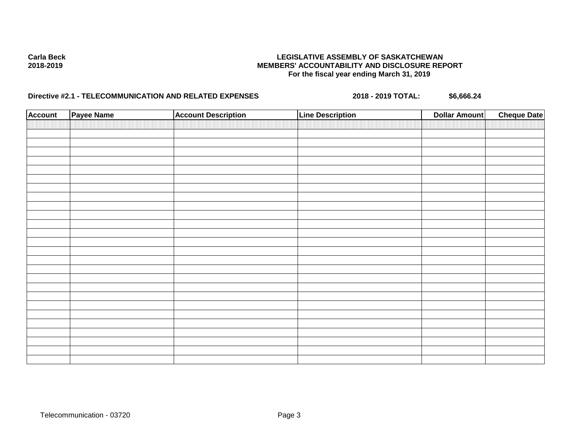## **Carla Beck LEGISLATIVE ASSEMBLY OF SASKATCHEWAN 2018-2019 MEMBERS' ACCOUNTABILITY AND DISCLOSURE REPORT For the fiscal year ending March 31, 2019**

# **Directive #2.1 - TELECOMMUNICATION AND RELATED EXPENSES 2018 - 2019 TOTAL: \$6,666.24**

| <b>Account</b> | <b>Payee Name</b> | <b>Account Description</b> | <b>Line Description</b> | <b>Dollar Amount</b> | <b>Cheque Date</b> |
|----------------|-------------------|----------------------------|-------------------------|----------------------|--------------------|
|                |                   |                            |                         |                      |                    |
|                |                   |                            |                         |                      |                    |
|                |                   |                            |                         |                      |                    |
|                |                   |                            |                         |                      |                    |
|                |                   |                            |                         |                      |                    |
|                |                   |                            |                         |                      |                    |
|                |                   |                            |                         |                      |                    |
|                |                   |                            |                         |                      |                    |
|                |                   |                            |                         |                      |                    |
|                |                   |                            |                         |                      |                    |
|                |                   |                            |                         |                      |                    |
|                |                   |                            |                         |                      |                    |
|                |                   |                            |                         |                      |                    |
|                |                   |                            |                         |                      |                    |
|                |                   |                            |                         |                      |                    |
|                |                   |                            |                         |                      |                    |
|                |                   |                            |                         |                      |                    |
|                |                   |                            |                         |                      |                    |
|                |                   |                            |                         |                      |                    |
|                |                   |                            |                         |                      |                    |
|                |                   |                            |                         |                      |                    |
|                |                   |                            |                         |                      |                    |
|                |                   |                            |                         |                      |                    |
|                |                   |                            |                         |                      |                    |
|                |                   |                            |                         |                      |                    |
|                |                   |                            |                         |                      |                    |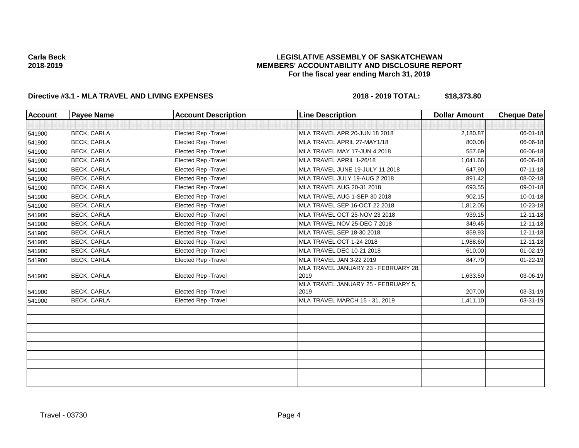## **LEGISLATIVE ASSEMBLY OF SASKATCHEWAN MEMBERS' ACCOUNTABILITY AND DISCLOSURE REPORT For the fiscal year ending March 31, 2019**

## **Directive #3.1 - MLA TRAVEL AND LIVING EXPENSES 2018 - 2019 TOTAL: \$18,373.80**

| <b>Account</b> | <b>Payee Name</b>  | <b>Account Description</b>  | <b>Line Description</b>                      | <b>Dollar Amount</b> | <b>Cheque Date</b> |
|----------------|--------------------|-----------------------------|----------------------------------------------|----------------------|--------------------|
|                |                    |                             |                                              |                      |                    |
| 541900         | <b>BECK, CARLA</b> | Elected Rep - Travel        | MLA TRAVEL APR 20-JUN 18 2018                | 2,180.87             | 06-01-18           |
| 541900         | <b>BECK, CARLA</b> | Elected Rep - Travel        | MLA TRAVEL APRIL 27-MAY1/18                  | 800.08               | 06-06-18           |
| 541900         | <b>BECK, CARLA</b> | Elected Rep - Travel        | MLA TRAVEL MAY 17-JUN 4 2018                 | 557.69               | 06-06-18           |
| 541900         | <b>BECK, CARLA</b> | Elected Rep - Travel        | MLA TRAVEL APRIL 1-26/18                     | 1,041.66             | 06-06-18           |
| 541900         | <b>BECK, CARLA</b> | Elected Rep - Travel        | MLA TRAVEL JUNE 19-JULY 11 2018              | 647.90               | $07 - 11 - 18$     |
| 541900         | <b>BECK, CARLA</b> | Elected Rep - Travel        | MLA TRAVEL JULY 19-AUG 2 2018                | 891.42               | 08-02-18           |
| 541900         | <b>BECK, CARLA</b> | <b>Elected Rep - Travel</b> | MLA TRAVEL AUG 20-31 2018                    | 693.55               | 09-01-18           |
| 541900         | <b>BECK, CARLA</b> | Elected Rep - Travel        | MLA TRAVEL AUG 1-SEP 30 2018                 | 902.15               | $10 - 01 - 18$     |
| 541900         | <b>BECK, CARLA</b> | <b>Elected Rep - Travel</b> | MLA TRAVEL SEP 16-OCT 22 2018                | 1,812.05             | 10-23-18           |
| 541900         | <b>BECK, CARLA</b> | <b>Elected Rep - Travel</b> | MLA TRAVEL OCT 25-NOV 23 2018                | 939.15               | 12-11-18           |
| 541900         | <b>BECK, CARLA</b> | Elected Rep - Travel        | MLA TRAVEL NOV 25-DEC 7 2018                 | 349.45               | 12-11-18           |
| 541900         | <b>BECK, CARLA</b> | Elected Rep - Travel        | MLA TRAVEL SEP 18-30 2018                    | 859.93               | $12 - 11 - 18$     |
| 541900         | <b>BECK, CARLA</b> | <b>Elected Rep - Travel</b> | MLA TRAVEL OCT 1-24 2018                     | 1,988.60             | 12-11-18           |
| 541900         | <b>BECK, CARLA</b> | <b>Elected Rep - Travel</b> | <b>MLA TRAVEL DEC 10-21 2018</b>             | 610.00               | $01 - 02 - 19$     |
| 541900         | <b>BECK, CARLA</b> | Elected Rep - Travel        | MLA TRAVEL JAN 3-22 2019                     | 847.70               | 01-22-19           |
| 541900         | <b>BECK, CARLA</b> | Elected Rep - Travel        | MLA TRAVEL JANUARY 23 - FEBRUARY 28,<br>2019 | 1,633.50             | 03-06-19           |
| 541900         | <b>BECK, CARLA</b> | Elected Rep - Travel        | MLA TRAVEL JANUARY 25 - FEBRUARY 5,<br>2019  | 207.00               | 03-31-19           |
| 541900         | <b>BECK, CARLA</b> | Elected Rep - Travel        | MLA TRAVEL MARCH 15 - 31, 2019               | 1,411.10             | 03-31-19           |
|                |                    |                             |                                              |                      |                    |
|                |                    |                             |                                              |                      |                    |
|                |                    |                             |                                              |                      |                    |
|                |                    |                             |                                              |                      |                    |
|                |                    |                             |                                              |                      |                    |
|                |                    |                             |                                              |                      |                    |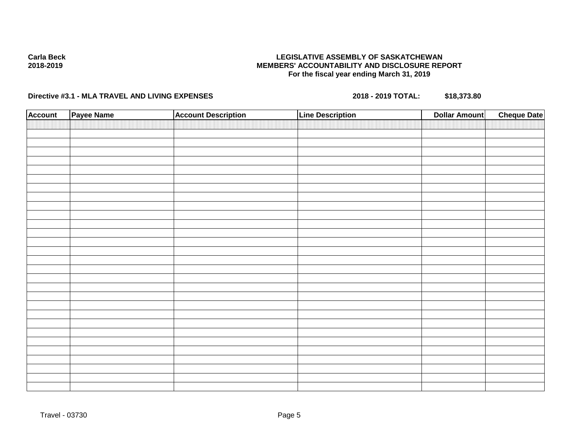## **LEGISLATIVE ASSEMBLY OF SASKATCHEWAN MEMBERS' ACCOUNTABILITY AND DISCLOSURE REPORT For the fiscal year ending March 31, 2019**

## **Directive #3.1 - MLA TRAVEL AND LIVING EXPENSES 2018 - 2019 TOTAL: \$18,373.80**

| <b>Account</b> | Payee Name | <b>Account Description</b> | <b>Line Description</b> | <b>Cheque Date</b><br><b>Dollar Amount</b> |
|----------------|------------|----------------------------|-------------------------|--------------------------------------------|
|                |            |                            |                         |                                            |
|                |            |                            |                         |                                            |
|                |            |                            |                         |                                            |
|                |            |                            |                         |                                            |
|                |            |                            |                         |                                            |
|                |            |                            |                         |                                            |
|                |            |                            |                         |                                            |
|                |            |                            |                         |                                            |
|                |            |                            |                         |                                            |
|                |            |                            |                         |                                            |
|                |            |                            |                         |                                            |
|                |            |                            |                         |                                            |
|                |            |                            |                         |                                            |
|                |            |                            |                         |                                            |
|                |            |                            |                         |                                            |
|                |            |                            |                         |                                            |
|                |            |                            |                         |                                            |
|                |            |                            |                         |                                            |
|                |            |                            |                         |                                            |
|                |            |                            |                         |                                            |
|                |            |                            |                         |                                            |
|                |            |                            |                         |                                            |
|                |            |                            |                         |                                            |
|                |            |                            |                         |                                            |
|                |            |                            |                         |                                            |
|                |            |                            |                         |                                            |
|                |            |                            |                         |                                            |
|                |            |                            |                         |                                            |
|                |            |                            |                         |                                            |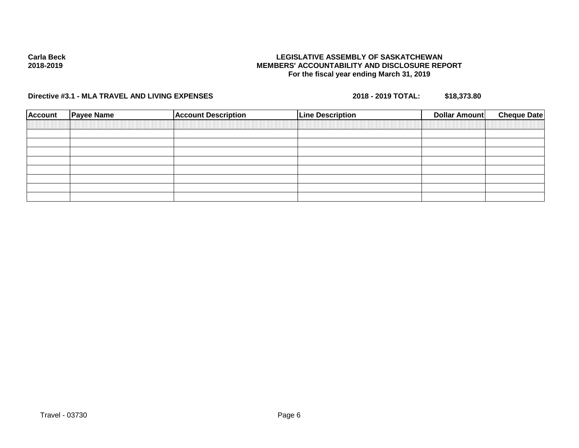## **LEGISLATIVE ASSEMBLY OF SASKATCHEWAN MEMBERS' ACCOUNTABILITY AND DISCLOSURE REPORT For the fiscal year ending March 31, 2019**

**Directive #3.1 - MLA TRAVEL AND LIVING EXPENSES 2018 - 2019 TOTAL: \$18,373.80**

| <b>Account</b> | <b>Payee Name</b> | <b>Account Description</b> | <b>Line Description</b> | Dollar Amount | <b>Cheque Date</b> |
|----------------|-------------------|----------------------------|-------------------------|---------------|--------------------|
|                |                   |                            |                         |               |                    |
|                |                   |                            |                         |               |                    |
|                |                   |                            |                         |               |                    |
|                |                   |                            |                         |               |                    |
|                |                   |                            |                         |               |                    |
|                |                   |                            |                         |               |                    |
|                |                   |                            |                         |               |                    |
|                |                   |                            |                         |               |                    |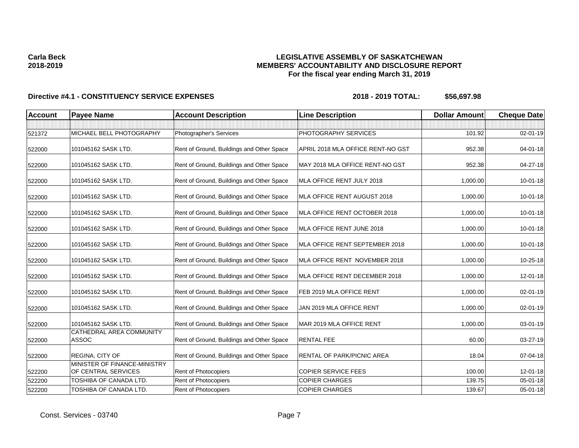## **LEGISLATIVE ASSEMBLY OF SASKATCHEWAN MEMBERS' ACCOUNTABILITY AND DISCLOSURE REPORT For the fiscal year ending March 31, 2019**

| <b>Account</b> | <b>Payee Name</b>                                   | <b>Account Description</b>                | <b>Line Description</b>           | <b>Dollar Amount</b> | <b>Cheque Date</b> |
|----------------|-----------------------------------------------------|-------------------------------------------|-----------------------------------|----------------------|--------------------|
| 521372         | MICHAEL BELL PHOTOGRAPHY                            | Photographer's Services                   | PHOTOGRAPHY SERVICES              | 101.92               | 02-01-19           |
|                |                                                     |                                           |                                   |                      |                    |
| 522000         | 101045162 SASK LTD.                                 | Rent of Ground, Buildings and Other Space | APRIL 2018 MLA OFFICE RENT-NO GST | 952.38               | $04 - 01 - 18$     |
| 522000         | 101045162 SASK LTD.                                 | Rent of Ground, Buildings and Other Space | MAY 2018 MLA OFFICE RENT-NO GST   | 952.38               | 04-27-18           |
| 522000         | 101045162 SASK LTD.                                 | Rent of Ground, Buildings and Other Space | MLA OFFICE RENT JULY 2018         | 1,000.00             | 10-01-18           |
| 522000         | 101045162 SASK LTD.                                 | Rent of Ground, Buildings and Other Space | MLA OFFICE RENT AUGUST 2018       | 1,000.00             | $10 - 01 - 18$     |
| 522000         | 101045162 SASK LTD.                                 | Rent of Ground, Buildings and Other Space | MLA OFFICE RENT OCTOBER 2018      | 1,000.00             | 10-01-18           |
| 522000         | 101045162 SASK LTD.                                 | Rent of Ground, Buildings and Other Space | MLA OFFICE RENT JUNE 2018         | 1,000.00             | $10 - 01 - 18$     |
| 522000         | 101045162 SASK LTD.                                 | Rent of Ground, Buildings and Other Space | MLA OFFICE RENT SEPTEMBER 2018    | 1,000.00             | 10-01-18           |
| 522000         | 101045162 SASK LTD.                                 | Rent of Ground, Buildings and Other Space | MLA OFFICE RENT NOVEMBER 2018     | 1,000.00             | 10-25-18           |
| 522000         | 101045162 SASK LTD.                                 | Rent of Ground, Buildings and Other Space | MLA OFFICE RENT DECEMBER 2018     | 1,000.00             | 12-01-18           |
| 522000         | 101045162 SASK LTD.                                 | Rent of Ground, Buildings and Other Space | FEB 2019 MLA OFFICE RENT          | 1,000.00             | 02-01-19           |
| 522000         | 101045162 SASK LTD.                                 | Rent of Ground, Buildings and Other Space | JAN 2019 MLA OFFICE RENT          | 1,000.00             | 02-01-19           |
| 522000         | 101045162 SASK LTD.                                 | Rent of Ground, Buildings and Other Space | MAR 2019 MLA OFFICE RENT          | 1,000.00             | $03 - 01 - 19$     |
| 522000         | CATHEDRAL AREA COMMUNITY<br>ASSOC                   | Rent of Ground, Buildings and Other Space | <b>RENTAL FEE</b>                 | 60.00                | 03-27-19           |
| 522000         | REGINA, CITY OF                                     | Rent of Ground, Buildings and Other Space | <b>RENTAL OF PARK/PICNIC AREA</b> | 18.04                | 07-04-18           |
| 522200         | MINISTER OF FINANCE-MINISTRY<br>OF CENTRAL SERVICES | Rent of Photocopiers                      | <b>COPIER SERVICE FEES</b>        | 100.00               | 12-01-18           |
| 522200         | <b>TOSHIBA OF CANADA LTD.</b>                       | Rent of Photocopiers                      | <b>COPIER CHARGES</b>             | 139.75               | $05 - 01 - 18$     |
| 522200         | TOSHIBA OF CANADA LTD.                              | <b>Rent of Photocopiers</b>               | <b>COPIER CHARGES</b>             | 139.67               | 05-01-18           |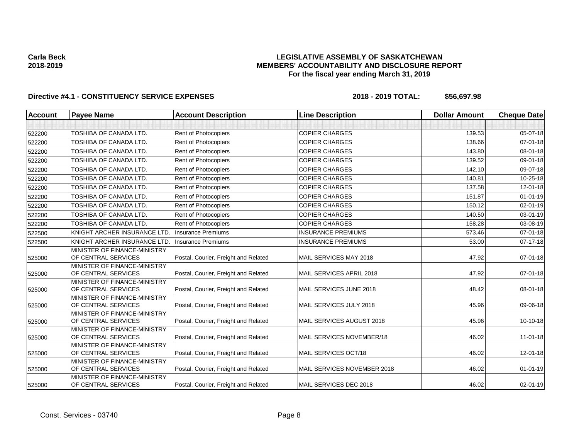## **LEGISLATIVE ASSEMBLY OF SASKATCHEWAN MEMBERS' ACCOUNTABILITY AND DISCLOSURE REPORT For the fiscal year ending March 31, 2019**

| <b>Account</b> | <b>Payee Name</b>                                   | <b>Account Description</b>           | <b>Line Description</b>     | <b>Dollar Amount</b> | <b>Cheque Date</b> |
|----------------|-----------------------------------------------------|--------------------------------------|-----------------------------|----------------------|--------------------|
|                |                                                     |                                      |                             |                      |                    |
| 522200         | TOSHIBA OF CANADA LTD.                              | Rent of Photocopiers                 | <b>COPIER CHARGES</b>       | 139.53               | $05 - 07 - 18$     |
| 522200         | TOSHIBA OF CANADA LTD.                              | <b>Rent of Photocopiers</b>          | <b>COPIER CHARGES</b>       | 138.66               | $07 - 01 - 18$     |
| 522200         | TOSHIBA OF CANADA LTD.                              | Rent of Photocopiers                 | <b>COPIER CHARGES</b>       | 143.80               | 08-01-18           |
| 522200         | TOSHIBA OF CANADA LTD.                              | <b>Rent of Photocopiers</b>          | <b>COPIER CHARGES</b>       | 139.52               | 09-01-18           |
| 522200         | <b>TOSHIBA OF CANADA LTD.</b>                       | Rent of Photocopiers                 | <b>COPIER CHARGES</b>       | 142.10               | 09-07-18           |
| 522200         | TOSHIBA OF CANADA LTD.                              | Rent of Photocopiers                 | <b>COPIER CHARGES</b>       | 140.81               | 10-25-18           |
| 522200         | TOSHIBA OF CANADA LTD.                              | <b>Rent of Photocopiers</b>          | <b>COPIER CHARGES</b>       | 137.58               | 12-01-18           |
| 522200         | TOSHIBA OF CANADA LTD.                              | <b>Rent of Photocopiers</b>          | <b>COPIER CHARGES</b>       | 151.87               | $01 - 01 - 19$     |
| 522200         | TOSHIBA OF CANADA LTD.                              | Rent of Photocopiers                 | <b>COPIER CHARGES</b>       | 150.12               | 02-01-19           |
| 522200         | TOSHIBA OF CANADA LTD.                              | Rent of Photocopiers                 | <b>COPIER CHARGES</b>       | 140.50               | 03-01-19           |
| 522200         | TOSHIBA OF CANADA LTD.                              | Rent of Photocopiers                 | <b>COPIER CHARGES</b>       | 158.28               | 03-08-19           |
| 522500         | KNIGHT ARCHER INSURANCE LTD.                        | <b>Insurance Premiums</b>            | <b>INSURANCE PREMIUMS</b>   | 573.46               | $07 - 01 - 18$     |
| 522500         | KNIGHT ARCHER INSURANCE LTD.                        | <b>Insurance Premiums</b>            | <b>INSURANCE PREMIUMS</b>   | 53.00                | $07 - 17 - 18$     |
| 525000         | MINISTER OF FINANCE-MINISTRY<br>OF CENTRAL SERVICES | Postal, Courier, Freight and Related | MAIL SERVICES MAY 2018      | 47.92                | $07 - 01 - 18$     |
| 525000         | MINISTER OF FINANCE-MINISTRY<br>OF CENTRAL SERVICES | Postal, Courier, Freight and Related | MAIL SERVICES APRIL 2018    | 47.92                | $07 - 01 - 18$     |
| 525000         | MINISTER OF FINANCE-MINISTRY<br>OF CENTRAL SERVICES | Postal, Courier, Freight and Related | MAIL SERVICES JUNE 2018     | 48.42                | 08-01-18           |
| 525000         | MINISTER OF FINANCE-MINISTRY<br>OF CENTRAL SERVICES | Postal, Courier, Freight and Related | MAIL SERVICES JULY 2018     | 45.96                | 09-06-18           |
| 525000         | MINISTER OF FINANCE-MINISTRY<br>OF CENTRAL SERVICES | Postal, Courier, Freight and Related | MAIL SERVICES AUGUST 2018   | 45.96                | 10-10-18           |
| 525000         | MINISTER OF FINANCE-MINISTRY<br>OF CENTRAL SERVICES | Postal, Courier, Freight and Related | MAIL SERVICES NOVEMBER/18   | 46.02                | $11 - 01 - 18$     |
| 525000         | MINISTER OF FINANCE-MINISTRY<br>OF CENTRAL SERVICES | Postal, Courier, Freight and Related | MAIL SERVICES OCT/18        | 46.02                | 12-01-18           |
| 525000         | MINISTER OF FINANCE-MINISTRY<br>OF CENTRAL SERVICES | Postal, Courier, Freight and Related | MAIL SERVICES NOVEMBER 2018 | 46.02                | $01 - 01 - 19$     |
| 525000         | MINISTER OF FINANCE-MINISTRY<br>OF CENTRAL SERVICES | Postal, Courier, Freight and Related | MAIL SERVICES DEC 2018      | 46.02                | $02 - 01 - 19$     |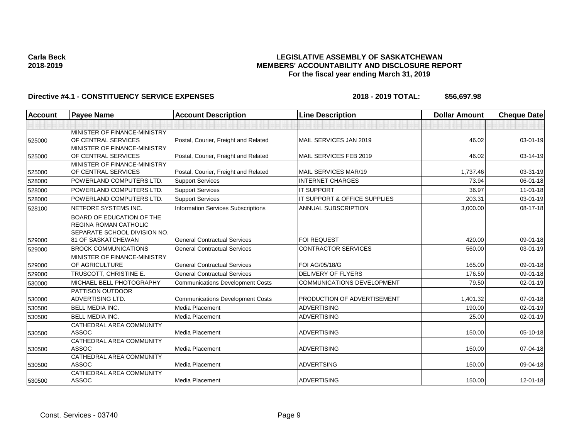## **LEGISLATIVE ASSEMBLY OF SASKATCHEWAN MEMBERS' ACCOUNTABILITY AND DISCLOSURE REPORT For the fiscal year ending March 31, 2019**

| Account | <b>Payee Name</b>                                                                         | <b>Account Description</b>                | <b>Line Description</b>           | <b>Dollar Amount</b> | <b>Cheque Date</b> |
|---------|-------------------------------------------------------------------------------------------|-------------------------------------------|-----------------------------------|----------------------|--------------------|
|         |                                                                                           |                                           |                                   |                      |                    |
| 525000  | MINISTER OF FINANCE-MINISTRY<br>OF CENTRAL SERVICES                                       | Postal, Courier, Freight and Related      | MAIL SERVICES JAN 2019            | 46.02                | $03 - 01 - 19$     |
| 525000  | MINISTER OF FINANCE-MINISTRY<br>OF CENTRAL SERVICES                                       | Postal, Courier, Freight and Related      | MAIL SERVICES FEB 2019            | 46.02                | 03-14-19           |
| 525000  | MINISTER OF FINANCE-MINISTRY<br>OF CENTRAL SERVICES                                       | Postal, Courier, Freight and Related      | MAIL SERVICES MAR/19              | 1,737.46             | 03-31-19           |
| 528000  | POWERLAND COMPUTERS LTD.                                                                  | <b>Support Services</b>                   | <b>INTERNET CHARGES</b>           | 73.94                | $06 - 01 - 18$     |
| 528000  | POWERLAND COMPUTERS LTD.                                                                  | <b>Support Services</b>                   | <b>IT SUPPORT</b>                 | 36.97                | $11-01-18$         |
| 528000  | POWERLAND COMPUTERS LTD.                                                                  | <b>Support Services</b>                   | IT SUPPORT & OFFICE SUPPLIES      | 203.31               | 03-01-19           |
| 528100  | NETFORE SYSTEMS INC.                                                                      | <b>Information Services Subscriptions</b> | <b>ANNUAL SUBSCRIPTION</b>        | 3,000.00             | 08-17-18           |
|         | BOARD OF EDUCATION OF THE<br><b>REGINA ROMAN CATHOLIC</b><br>SEPARATE SCHOOL DIVISION NO. |                                           |                                   |                      |                    |
| 529000  | <b>81 OF SASKATCHEWAN</b>                                                                 | <b>General Contractual Services</b>       | <b>FOI REQUEST</b>                | 420.00               | 09-01-18           |
| 529000  | <b>BROCK COMMUNICATIONS</b>                                                               | <b>General Contractual Services</b>       | <b>CONTRACTOR SERVICES</b>        | 560.00               | 03-01-19           |
| 529000  | MINISTER OF FINANCE-MINISTRY<br><b>OF AGRICULTURE</b>                                     | <b>General Contractual Services</b>       | FOI AG/05/18/G                    | 165.00               | 09-01-18           |
| 529000  | TRUSCOTT, CHRISTINE E.                                                                    | <b>General Contractual Services</b>       | <b>DELIVERY OF FLYERS</b>         | 176.50               | 09-01-18           |
| 530000  | MICHAEL BELL PHOTOGRAPHY                                                                  | <b>Communications Development Costs</b>   | <b>COMMUNICATIONS DEVELOPMENT</b> | 79.50                | $02 - 01 - 19$     |
| 530000  | <b>PATTISON OUTDOOR</b><br><b>ADVERTISING LTD.</b>                                        | <b>Communications Development Costs</b>   | PRODUCTION OF ADVERTISEMENT       | 1,401.32             | 07-01-18           |
| 530500  | <b>BELL MEDIA INC.</b>                                                                    | Media Placement                           | <b>ADVERTISING</b>                | 190.00               | $02 - 01 - 19$     |
| 530500  | <b>BELL MEDIA INC.</b>                                                                    | Media Placement                           | <b>ADVERTISING</b>                | 25.00                | $02 - 01 - 19$     |
| 530500  | <b>CATHEDRAL AREA COMMUNITY</b><br><b>ASSOC</b>                                           | Media Placement                           | <b>ADVERTISING</b>                | 150.00               | 05-10-18           |
| 530500  | CATHEDRAL AREA COMMUNITY<br><b>ASSOC</b>                                                  | Media Placement                           | <b>ADVERTISING</b>                | 150.00               | 07-04-18           |
| 530500  | CATHEDRAL AREA COMMUNITY<br><b>ASSOC</b>                                                  | Media Placement                           | <b>ADVERTSING</b>                 | 150.00               | 09-04-18           |
| 530500  | <b>CATHEDRAL AREA COMMUNITY</b><br><b>ASSOC</b>                                           | Media Placement                           | <b>ADVERTISING</b>                | 150.00               | $12 - 01 - 18$     |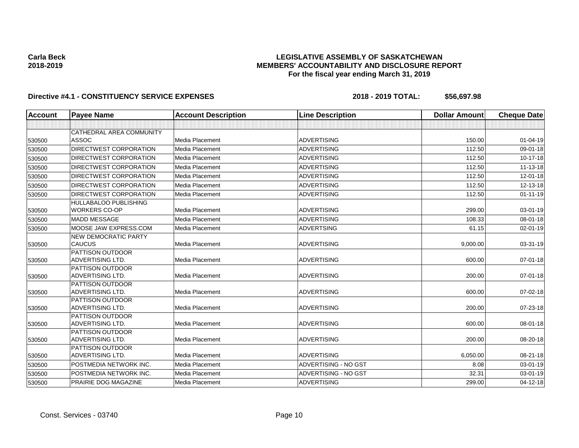## **LEGISLATIVE ASSEMBLY OF SASKATCHEWAN MEMBERS' ACCOUNTABILITY AND DISCLOSURE REPORT For the fiscal year ending March 31, 2019**

| <b>Account</b> | <b>Payee Name</b>                                    | <b>Account Description</b> | <b>Line Description</b> | <b>Dollar Amount</b> | <b>Cheque Date</b> |
|----------------|------------------------------------------------------|----------------------------|-------------------------|----------------------|--------------------|
|                |                                                      |                            |                         |                      |                    |
|                | CATHEDRAL AREA COMMUNITY                             |                            |                         |                      |                    |
| 530500         | <b>ASSOC</b>                                         | Media Placement            | <b>ADVERTISING</b>      | 150.00               | $01 - 04 - 19$     |
| 530500         | DIRECTWEST CORPORATION                               | Media Placement            | <b>ADVERTISING</b>      | 112.50               | 09-01-18           |
| 530500         | <b>DIRECTWEST CORPORATION</b>                        | Media Placement            | <b>ADVERTISING</b>      | 112.50               | $10-17-18$         |
| 530500         | <b>DIRECTWEST CORPORATION</b>                        | Media Placement            | <b>ADVERTISING</b>      | 112.50               | $11 - 13 - 18$     |
| 530500         | DIRECTWEST CORPORATION                               | Media Placement            | <b>ADVERTISING</b>      | 112.50               | $12 - 01 - 18$     |
| 530500         | <b>DIRECTWEST CORPORATION</b>                        | Media Placement            | <b>ADVERTISING</b>      | 112.50               | 12-13-18           |
| 530500         | DIRECTWEST CORPORATION                               | Media Placement            | <b>ADVERTISING</b>      | 112.50               | $01 - 11 - 19$     |
| 530500         | <b>HULLABALOO PUBLISHING</b><br><b>WORKERS CO-OP</b> | Media Placement            | <b>ADVERTISING</b>      | 299.00               | 03-01-19           |
| 530500         | <b>MADD MESSAGE</b>                                  | Media Placement            | <b>ADVERTISING</b>      | 108.33               | 08-01-18           |
| 530500         | MOOSE JAW EXPRESS.COM                                | Media Placement            | <b>ADVERTSING</b>       | 61.15                | 02-01-19           |
| 530500         | <b>NEW DEMOCRATIC PARTY</b><br><b>CAUCUS</b>         | Media Placement            | <b>ADVERTISING</b>      | 9,000.00             | 03-31-19           |
| 530500         | PATTISON OUTDOOR<br><b>ADVERTISING LTD.</b>          | Media Placement            | <b>ADVERTISING</b>      | 600.00               | $07 - 01 - 18$     |
| 530500         | PATTISON OUTDOOR<br><b>ADVERTISING LTD.</b>          | Media Placement            | <b>ADVERTISING</b>      | 200.00               | $07 - 01 - 18$     |
| 530500         | PATTISON OUTDOOR<br><b>ADVERTISING LTD.</b>          | Media Placement            | <b>ADVERTISING</b>      | 600.00               | 07-02-18           |
| 530500         | PATTISON OUTDOOR<br><b>ADVERTISING LTD.</b>          | Media Placement            | <b>ADVERTISING</b>      | 200.00               | 07-23-18           |
| 530500         | <b>PATTISON OUTDOOR</b><br><b>ADVERTISING LTD.</b>   | Media Placement            | <b>ADVERTISING</b>      | 600.00               | 08-01-18           |
| 530500         | PATTISON OUTDOOR<br>ADVERTISING LTD.                 | Media Placement            | <b>ADVERTISING</b>      | 200.00               | 08-20-18           |
| 530500         | PATTISON OUTDOOR<br><b>ADVERTISING LTD.</b>          | Media Placement            | <b>ADVERTISING</b>      | 6,050.00             | 08-21-18           |
| 530500         | POSTMEDIA NETWORK INC.                               | Media Placement            | ADVERTISING - NO GST    | 8.08                 | $03 - 01 - 19$     |
| 530500         | POSTMEDIA NETWORK INC.                               | Media Placement            | ADVERTISING - NO GST    | 32.31                | 03-01-19           |
| 530500         | PRAIRIE DOG MAGAZINE                                 | Media Placement            | <b>ADVERTISING</b>      | 299.00               | 04-12-18           |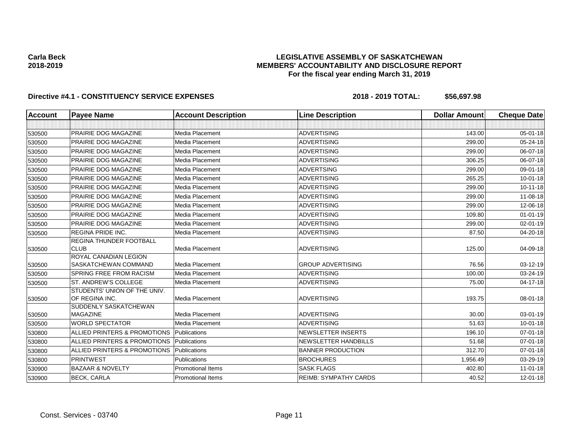## **LEGISLATIVE ASSEMBLY OF SASKATCHEWAN MEMBERS' ACCOUNTABILITY AND DISCLOSURE REPORT For the fiscal year ending March 31, 2019**

| <b>Account</b> | <b>Payee Name</b>                              | <b>Account Description</b> | <b>Line Description</b>      | <b>Dollar Amount</b> | <b>Cheque Date</b> |
|----------------|------------------------------------------------|----------------------------|------------------------------|----------------------|--------------------|
|                |                                                |                            |                              |                      |                    |
| 530500         | PRAIRIE DOG MAGAZINE                           | Media Placement            | <b>ADVERTISING</b>           | 143.00               | 05-01-18           |
| 530500         | PRAIRIE DOG MAGAZINE                           | Media Placement            | <b>ADVERTISING</b>           | 299.00               | 05-24-18           |
| 530500         | PRAIRIE DOG MAGAZINE                           | Media Placement            | <b>ADVERTISING</b>           | 299.00               | 06-07-18           |
| 530500         | PRAIRIE DOG MAGAZINE                           | Media Placement            | <b>ADVERTISING</b>           | 306.25               | 06-07-18           |
| 530500         | PRAIRIE DOG MAGAZINE                           | Media Placement            | <b>ADVERTSING</b>            | 299.00               | 09-01-18           |
| 530500         | PRAIRIE DOG MAGAZINE                           | Media Placement            | <b>ADVERTISING</b>           | 265.25               | $10 - 01 - 18$     |
| 530500         | PRAIRIE DOG MAGAZINE                           | Media Placement            | <b>ADVERTISING</b>           | 299.00               | $10 - 11 - 18$     |
| 530500         | PRAIRIE DOG MAGAZINE                           | Media Placement            | <b>ADVERTISING</b>           | 299.00               | 11-08-18           |
| 530500         | PRAIRIE DOG MAGAZINE                           | Media Placement            | <b>ADVERTISING</b>           | 299.00               | 12-06-18           |
| 530500         | PRAIRIE DOG MAGAZINE                           | Media Placement            | <b>ADVERTISING</b>           | 109.80               | $01 - 01 - 19$     |
| 530500         | PRAIRIE DOG MAGAZINE                           | Media Placement            | <b>ADVERTISING</b>           | 299.00               | 02-01-19           |
| 530500         | REGINA PRIDE INC.                              | Media Placement            | <b>ADVERTISING</b>           | 87.50                | 04-20-18           |
| 530500         | <b>REGINA THUNDER FOOTBALL</b><br><b>CLUB</b>  | Media Placement            | <b>ADVERTISING</b>           | 125.00               | 04-09-18           |
| 530500         | ROYAL CANADIAN LEGION<br>SASKATCHEWAN COMMAND  | Media Placement            | <b>GROUP ADVERTISING</b>     | 76.56                | 03-12-19           |
| 530500         | <b>SPRING FREE FROM RACISM</b>                 | Media Placement            | <b>ADVERTISING</b>           | 100.00               | 03-24-19           |
| 530500         | ST. ANDREW'S COLLEGE                           | Media Placement            | <b>ADVERTISING</b>           | 75.00                | $04 - 17 - 18$     |
| 530500         | STUDENTS' UNION OF THE UNIV.<br>OF REGINA INC. | Media Placement            | <b>ADVERTISING</b>           | 193.75               | 08-01-18           |
| 530500         | SUDDENLY SASKATCHEWAN<br><b>MAGAZINE</b>       | Media Placement            | <b>ADVERTISING</b>           | 30.00                | 03-01-19           |
| 530500         | <b>WORLD SPECTATOR</b>                         | Media Placement            | <b>ADVERTISING</b>           | 51.63                | $10 - 01 - 18$     |
| 530800         | ALLIED PRINTERS & PROMOTIONS                   | Publications               | <b>NEWSLETTER INSERTS</b>    | 196.10               | $07 - 01 - 18$     |
| 530800         | ALLIED PRINTERS & PROMOTIONS                   | Publications               | <b>NEWSLETTER HANDBILLS</b>  | 51.68                | $07 - 01 - 18$     |
| 530800         | ALLIED PRINTERS & PROMOTIONS                   | Publications               | <b>BANNER PRODUCTION</b>     | 312.70               | $07 - 01 - 18$     |
| 530800         | <b>PRINTWEST</b>                               | Publications               | <b>BROCHURES</b>             | 1.956.49             | 03-29-19           |
| 530900         | <b>BAZAAR &amp; NOVELTY</b>                    | <b>Promotional Items</b>   | <b>SASK FLAGS</b>            | 402.80               | $11 - 01 - 18$     |
| 530900         | <b>BECK, CARLA</b>                             | <b>Promotional Items</b>   | <b>REIMB: SYMPATHY CARDS</b> | 40.52                | $12 - 01 - 18$     |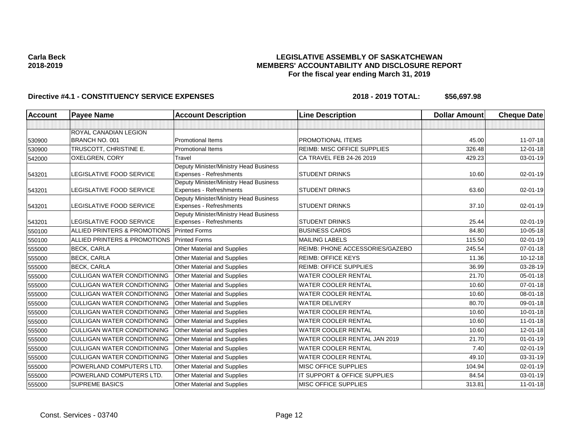## **LEGISLATIVE ASSEMBLY OF SASKATCHEWAN MEMBERS' ACCOUNTABILITY AND DISCLOSURE REPORT For the fiscal year ending March 31, 2019**

| <b>Account</b> | <b>Payee Name</b>                  | <b>Account Description</b>                                        | <b>Line Description</b>            | <b>Dollar Amount</b> | <b>Cheque Date</b> |
|----------------|------------------------------------|-------------------------------------------------------------------|------------------------------------|----------------------|--------------------|
|                |                                    |                                                                   |                                    |                      |                    |
|                | <b>ROYAL CANADIAN LEGION</b>       |                                                                   |                                    |                      |                    |
| 530900         | BRANCH NO. 001                     | <b>Promotional Items</b>                                          | <b>PROMOTIONAL ITEMS</b>           | 45.00                | 11-07-18           |
| 530900         | TRUSCOTT, CHRISTINE E.             | <b>Promotional Items</b>                                          | <b>REIMB: MISC OFFICE SUPPLIES</b> | 326.48               | $12 - 01 - 18$     |
| 542000         | OXELGREN, CORY                     | Travel                                                            | CA TRAVEL FEB 24-26 2019           | 429.23               | 03-01-19           |
| 543201         | LEGISLATIVE FOOD SERVICE           | Deputy Minister/Ministry Head Business<br>Expenses - Refreshments | <b>STUDENT DRINKS</b>              | 10.60                | 02-01-19           |
|                |                                    | Deputy Minister/Ministry Head Business                            |                                    |                      |                    |
| 543201         | LEGISLATIVE FOOD SERVICE           | Expenses - Refreshments                                           | <b>STUDENT DRINKS</b>              | 63.60                | 02-01-19           |
| 543201         | LEGISLATIVE FOOD SERVICE           | Deputy Minister/Ministry Head Business<br>Expenses - Refreshments | <b>STUDENT DRINKS</b>              | 37.10                | 02-01-19           |
| 543201         | LEGISLATIVE FOOD SERVICE           | Deputy Minister/Ministry Head Business<br>Expenses - Refreshments | <b>STUDENT DRINKS</b>              | 25.44                | 02-01-19           |
| 550100         | ALLIED PRINTERS & PROMOTIONS       | <b>Printed Forms</b>                                              | <b>BUSINESS CARDS</b>              | 84.80                | 10-05-18           |
| 550100         | ALLIED PRINTERS & PROMOTIONS       | <b>Printed Forms</b>                                              | <b>MAILING LABELS</b>              | 115.50               | 02-01-19           |
| 555000         | <b>BECK, CARLA</b>                 | Other Material and Supplies                                       | REIMB: PHONE ACCESSORIES/GAZEBO    | 245.54               | 07-01-18           |
| 555000         | <b>BECK, CARLA</b>                 | Other Material and Supplies                                       | <b>REIMB: OFFICE KEYS</b>          | 11.36                | $10-12-18$         |
| 555000         | <b>BECK, CARLA</b>                 | Other Material and Supplies                                       | <b>REIMB: OFFICE SUPPLIES</b>      | 36.99                | 03-28-19           |
| 555000         | <b>CULLIGAN WATER CONDITIONING</b> | Other Material and Supplies                                       | <b>WATER COOLER RENTAL</b>         | 21.70                | 05-01-18           |
| 555000         | <b>CULLIGAN WATER CONDITIONING</b> | <b>Other Material and Supplies</b>                                | <b>WATER COOLER RENTAL</b>         | 10.60                | $07 - 01 - 18$     |
| 555000         | <b>CULLIGAN WATER CONDITIONING</b> | Other Material and Supplies                                       | <b>WATER COOLER RENTAL</b>         | 10.60                | 08-01-18           |
| 555000         | <b>CULLIGAN WATER CONDITIONING</b> | <b>Other Material and Supplies</b>                                | <b>WATER DELIVERY</b>              | 80.70                | 09-01-18           |
| 555000         | <b>CULLIGAN WATER CONDITIONING</b> | Other Material and Supplies                                       | <b>WATER COOLER RENTAL</b>         | 10.60                | $10 - 01 - 18$     |
| 555000         | <b>CULLIGAN WATER CONDITIONING</b> | Other Material and Supplies                                       | <b>WATER COOLER RENTAL</b>         | 10.60                | $11 - 01 - 18$     |
| 555000         | <b>CULLIGAN WATER CONDITIONING</b> | Other Material and Supplies                                       | <b>WATER COOLER RENTAL</b>         | 10.60                | $12 - 01 - 18$     |
| 555000         | <b>CULLIGAN WATER CONDITIONING</b> | Other Material and Supplies                                       | WATER COOLER RENTAL JAN 2019       | 21.70                | $01 - 01 - 19$     |
| 555000         | <b>CULLIGAN WATER CONDITIONING</b> | Other Material and Supplies                                       | <b>WATER COOLER RENTAL</b>         | 7.40                 | $02 - 01 - 19$     |
| 555000         | <b>CULLIGAN WATER CONDITIONING</b> | Other Material and Supplies                                       | <b>WATER COOLER RENTAL</b>         | 49.10                | 03-31-19           |
| 555000         | POWERLAND COMPUTERS LTD.           | Other Material and Supplies                                       | <b>MISC OFFICE SUPPLIES</b>        | 104.94               | 02-01-19           |
| 555000         | POWERLAND COMPUTERS LTD.           | Other Material and Supplies                                       | IT SUPPORT & OFFICE SUPPLIES       | 84.54                | 03-01-19           |
| 555000         | <b>SUPREME BASICS</b>              | Other Material and Supplies                                       | <b>MISC OFFICE SUPPLIES</b>        | 313.81               | $11-01-18$         |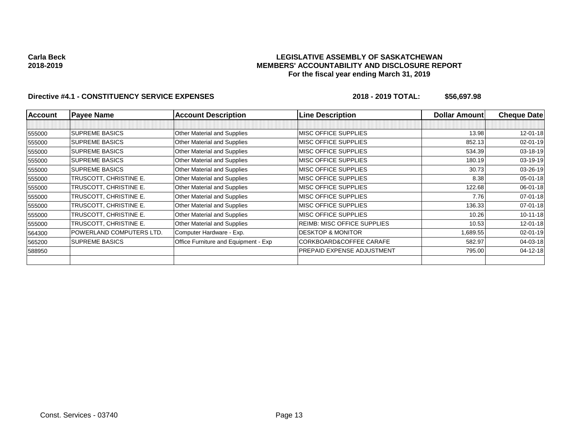## **LEGISLATIVE ASSEMBLY OF SASKATCHEWAN MEMBERS' ACCOUNTABILITY AND DISCLOSURE REPORT For the fiscal year ending March 31, 2019**

| <b>Account</b> | <b>Payee Name</b>        | <b>Account Description</b>           | <b>Line Description</b>            | <b>Dollar Amount</b> | <b>Cheque Datel</b> |
|----------------|--------------------------|--------------------------------------|------------------------------------|----------------------|---------------------|
|                |                          |                                      |                                    |                      |                     |
| 555000         | <b>ISUPREME BASICS</b>   | Other Material and Supplies          | MISC OFFICE SUPPLIES               | 13.98                | $12 - 01 - 18$      |
| 555000         | <b>SUPREME BASICS</b>    | Other Material and Supplies          | MISC OFFICE SUPPLIES               | 852.13               | $02 - 01 - 19$      |
| 555000         | <b>SUPREME BASICS</b>    | Other Material and Supplies          | MISC OFFICE SUPPLIES               | 534.39               | 03-18-19            |
| 555000         | <b>ISUPREME BASICS</b>   | <b>Other Material and Supplies</b>   | MISC OFFICE SUPPLIES               | 180.19               | 03-19-19            |
| 555000         | <b>SUPREME BASICS</b>    | <b>Other Material and Supplies</b>   | MISC OFFICE SUPPLIES               | 30.73                | $03 - 26 - 19$      |
| 555000         | TRUSCOTT, CHRISTINE E.   | Other Material and Supplies          | MISC OFFICE SUPPLIES               | 8.38                 | $05 - 01 - 18$      |
| 555000         | TRUSCOTT, CHRISTINE E.   | Other Material and Supplies          | MISC OFFICE SUPPLIES               | 122.68               | $06 - 01 - 18$      |
| 555000         | TRUSCOTT, CHRISTINE E.   | Other Material and Supplies          | MISC OFFICE SUPPLIES               | 7.76                 | $07 - 01 - 18$      |
| 555000         | TRUSCOTT, CHRISTINE E.   | Other Material and Supplies          | MISC OFFICE SUPPLIES               | 136.33               | $07 - 01 - 18$      |
| 555000         | TRUSCOTT, CHRISTINE E.   | Other Material and Supplies          | MISC OFFICE SUPPLIES               | 10.26                | $10 - 11 - 18$      |
| 555000         | TRUSCOTT, CHRISTINE E.   | <b>Other Material and Supplies</b>   | <b>REIMB: MISC OFFICE SUPPLIES</b> | 10.53                | $12 - 01 - 18$      |
| 564300         | POWERLAND COMPUTERS LTD. | Computer Hardware - Exp.             | <b>DESKTOP &amp; MONITOR</b>       | 1,689.55             | $02 - 01 - 19$      |
| 565200         | <b>SUPREME BASICS</b>    | Office Furniture and Equipment - Exp | CORKBOARD&COFFEE CARAFE            | 582.97               | 04-03-18            |
| 588950         |                          |                                      | PREPAID EXPENSE ADJUSTMENT         | 795.00               | $04 - 12 - 18$      |
|                |                          |                                      |                                    |                      |                     |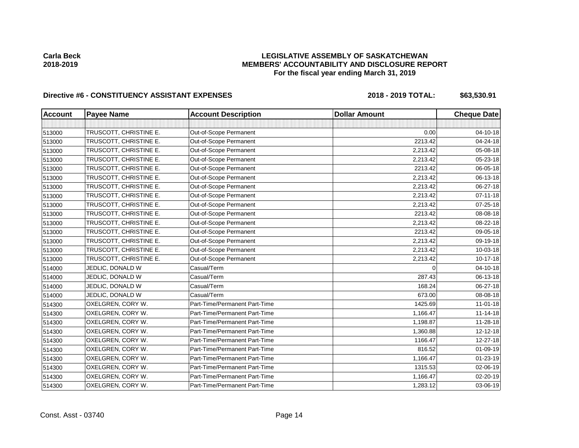## **LEGISLATIVE ASSEMBLY OF SASKATCHEWAN MEMBERS' ACCOUNTABILITY AND DISCLOSURE REPORT For the fiscal year ending March 31, 2019**

# Directive #6 - CONSTITUENCY ASSISTANT EXPENSES 2018 - 2018 - 2019 TOTAL: \$63,530.91

| <b>Account</b> | <b>Payee Name</b>      | <b>Account Description</b>    | <b>Dollar Amount</b> | <b>Cheque Date</b> |
|----------------|------------------------|-------------------------------|----------------------|--------------------|
|                |                        |                               |                      |                    |
| 513000         | TRUSCOTT, CHRISTINE E. | Out-of-Scope Permanent        | 0.00                 | 04-10-18           |
| 513000         | TRUSCOTT, CHRISTINE E. | Out-of-Scope Permanent        | 2213.42              | 04-24-18           |
| 513000         | TRUSCOTT, CHRISTINE E. | Out-of-Scope Permanent        | 2,213.42             | 05-08-18           |
| 513000         | TRUSCOTT, CHRISTINE E. | Out-of-Scope Permanent        | 2,213.42             | 05-23-18           |
| 513000         | TRUSCOTT, CHRISTINE E. | Out-of-Scope Permanent        | 2213.42              | 06-05-18           |
| 513000         | TRUSCOTT, CHRISTINE E. | Out-of-Scope Permanent        | 2,213.42             | 06-13-18           |
| 513000         | TRUSCOTT, CHRISTINE E. | Out-of-Scope Permanent        | 2,213.42             | 06-27-18           |
| 513000         | TRUSCOTT, CHRISTINE E. | Out-of-Scope Permanent        | 2,213.42             | $07 - 11 - 18$     |
| 513000         | TRUSCOTT, CHRISTINE E. | Out-of-Scope Permanent        | 2,213.42             | 07-25-18           |
| 513000         | TRUSCOTT, CHRISTINE E. | Out-of-Scope Permanent        | 2213.42              | 08-08-18           |
| 513000         | TRUSCOTT, CHRISTINE E. | Out-of-Scope Permanent        | 2,213.42             | 08-22-18           |
| 513000         | TRUSCOTT, CHRISTINE E. | Out-of-Scope Permanent        | 2213.42              | 09-05-18           |
| 513000         | TRUSCOTT, CHRISTINE E. | Out-of-Scope Permanent        | 2,213.42             | 09-19-18           |
| 513000         | TRUSCOTT, CHRISTINE E. | Out-of-Scope Permanent        | 2,213.42             | 10-03-18           |
| 513000         | TRUSCOTT, CHRISTINE E. | Out-of-Scope Permanent        | 2,213.42             | $10 - 17 - 18$     |
| 514000         | JEDLIC, DONALD W       | Casual/Term                   | $\Omega$             | 04-10-18           |
| 514000         | JEDLIC, DONALD W       | Casual/Term                   | 287.43               | 06-13-18           |
| 514000         | JEDLIC, DONALD W       | Casual/Term                   | 168.24               | 06-27-18           |
| 514000         | JEDLIC, DONALD W       | Casual/Term                   | 673.00               | 08-08-18           |
| 514300         | OXELGREN, CORY W.      | Part-Time/Permanent Part-Time | 1425.69              | $11 - 01 - 18$     |
| 514300         | OXELGREN, CORY W.      | Part-Time/Permanent Part-Time | 1,166.47             | $11 - 14 - 18$     |
| 514300         | OXELGREN, CORY W.      | Part-Time/Permanent Part-Time | 1,198.87             | $11 - 28 - 18$     |
| 514300         | OXELGREN, CORY W.      | Part-Time/Permanent Part-Time | 1,360.88             | 12-12-18           |
| 514300         | OXELGREN, CORY W.      | Part-Time/Permanent Part-Time | 1166.47              | $12 - 27 - 18$     |
| 514300         | OXELGREN, CORY W.      | Part-Time/Permanent Part-Time | 816.52               | 01-09-19           |
| 514300         | OXELGREN, CORY W.      | Part-Time/Permanent Part-Time | 1,166.47             | $01 - 23 - 19$     |
| 514300         | OXELGREN, CORY W.      | Part-Time/Permanent Part-Time | 1315.53              | 02-06-19           |
| 514300         | OXELGREN, CORY W.      | Part-Time/Permanent Part-Time | 1,166.47             | 02-20-19           |
| 514300         | OXELGREN, CORY W.      | Part-Time/Permanent Part-Time | 1,283.12             | 03-06-19           |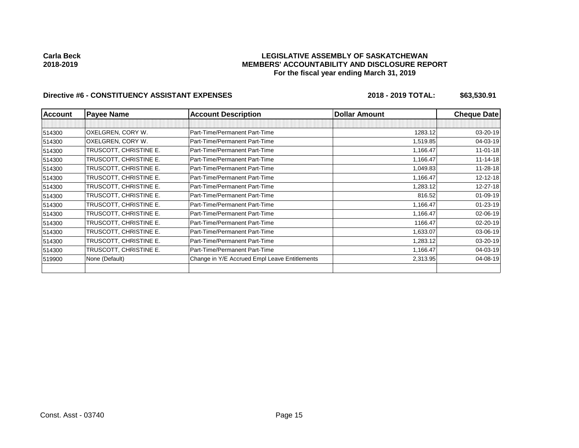## **LEGISLATIVE ASSEMBLY OF SASKATCHEWAN MEMBERS' ACCOUNTABILITY AND DISCLOSURE REPORT For the fiscal year ending March 31, 2019**

# Directive #6 - CONSTITUENCY ASSISTANT EXPENSES 2018 - 2018 - 2019 TOTAL: \$63,530.91

| <b>Account</b> | <b>Payee Name</b>      | <b>Account Description</b>                    | <b>Dollar Amount</b> | <b>Cheque Date</b> |
|----------------|------------------------|-----------------------------------------------|----------------------|--------------------|
|                |                        |                                               |                      |                    |
| 514300         | OXELGREN, CORY W.      | Part-Time/Permanent Part-Time                 | 1283.12              | 03-20-19           |
| 514300         | OXELGREN, CORY W.      | Part-Time/Permanent Part-Time                 | 1,519.85             | 04-03-19           |
| 514300         | TRUSCOTT, CHRISTINE E. | Part-Time/Permanent Part-Time                 | 1,166.47             | $11 - 01 - 18$     |
| 514300         | TRUSCOTT, CHRISTINE E. | Part-Time/Permanent Part-Time                 | 1,166.47             | $11 - 14 - 18$     |
| 514300         | TRUSCOTT, CHRISTINE E. | Part-Time/Permanent Part-Time                 | 1,049.83             | 11-28-18           |
| 514300         | TRUSCOTT, CHRISTINE E. | Part-Time/Permanent Part-Time                 | 1,166.47             | 12-12-18           |
| 514300         | TRUSCOTT, CHRISTINE E. | Part-Time/Permanent Part-Time                 | 1,283.12             | 12-27-18           |
| 514300         | TRUSCOTT, CHRISTINE E. | Part-Time/Permanent Part-Time                 | 816.52               | 01-09-19           |
| 514300         | TRUSCOTT, CHRISTINE E. | Part-Time/Permanent Part-Time                 | 1,166.47             | $01 - 23 - 19$     |
| 514300         | TRUSCOTT, CHRISTINE E. | Part-Time/Permanent Part-Time                 | 1,166.47             | 02-06-19           |
| 514300         | TRUSCOTT, CHRISTINE E. | Part-Time/Permanent Part-Time                 | 1166.47              | 02-20-19           |
| 514300         | TRUSCOTT, CHRISTINE E. | Part-Time/Permanent Part-Time                 | 1,633.07             | 03-06-19           |
| 514300         | TRUSCOTT, CHRISTINE E. | Part-Time/Permanent Part-Time                 | 1,283.12             | 03-20-19           |
| 514300         | TRUSCOTT, CHRISTINE E. | Part-Time/Permanent Part-Time                 | 1,166.47             | 04-03-19           |
| 519900         | None (Default)         | Change in Y/E Accrued Empl Leave Entitlements | 2,313.95             | 04-08-19           |